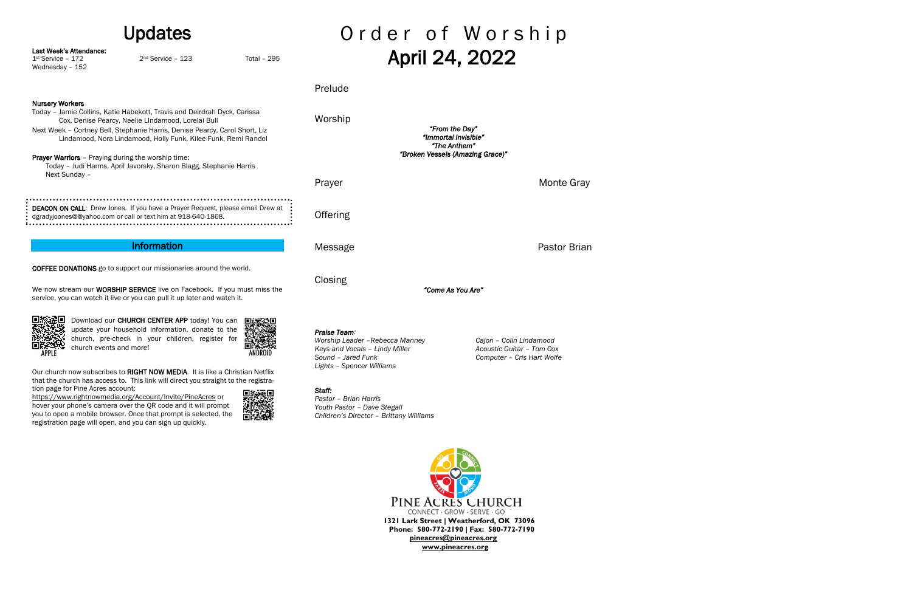| <b>Updates</b>                                                                                                                                                                                                                          |                                                                                                                                                       |                              | Order of Worship                                                                                                                     |                                                                                    |
|-----------------------------------------------------------------------------------------------------------------------------------------------------------------------------------------------------------------------------------------|-------------------------------------------------------------------------------------------------------------------------------------------------------|------------------------------|--------------------------------------------------------------------------------------------------------------------------------------|------------------------------------------------------------------------------------|
| Last Week's Attendance:<br>$1st$ Service - $172$<br>Wednesday - 152                                                                                                                                                                     | $2nd$ Service - 123                                                                                                                                   | <b>Total - 295</b>           |                                                                                                                                      | April 24, 2022                                                                     |
|                                                                                                                                                                                                                                         |                                                                                                                                                       |                              | Prelude                                                                                                                              |                                                                                    |
| <b>Nursery Workers</b><br>Today - Jamie Collins, Katie Habekott, Travis and Deirdrah Dyck, Carissa<br>Cox, Denise Pearcy, Neelie LIndamood, Lorelai Bull<br>Next Week - Cortney Bell, Stephanie Harris, Denise Pearcy, Carol Short, Liz |                                                                                                                                                       |                              | Worship                                                                                                                              | "From the Day"                                                                     |
| Lindamood, Nora Lindamood, Holly Funk, Kilee Funk, Remi Randol<br><b>Prayer Warriors</b> - Praying during the worship time:<br>Today - Judi Harms, April Javorsky, Sharon Blagg, Stephanie Harris                                       |                                                                                                                                                       |                              | "Immortal Invisible"<br>"The Anthem"<br>"Broken Vessels (Amazing Grace)"                                                             |                                                                                    |
| Next Sunday -                                                                                                                                                                                                                           |                                                                                                                                                       |                              | Prayer                                                                                                                               | Monte Gray                                                                         |
|                                                                                                                                                                                                                                         | DEACON ON CALL: Drew Jones. If you have a Prayer Request, please email Drew at<br>dgradyjoones@@yahoo.com or call or text him at 918-640-1868.        |                              | Offering                                                                                                                             |                                                                                    |
|                                                                                                                                                                                                                                         | <b>Information</b>                                                                                                                                    |                              | Message                                                                                                                              | Pastor Brian                                                                       |
| <b>COFFEE DONATIONS</b> go to support our missionaries around the world.<br>We now stream our WORSHIP SERVICE live on Facebook. If you must miss the<br>service, you can watch it live or you can pull it up later and watch it.        |                                                                                                                                                       | Closing<br>"Come As You Are" |                                                                                                                                      |                                                                                    |
| church events and more!                                                                                                                                                                                                                 | Download our CHURCH CENTER APP today! You can<br>update your household information, donate to the<br>church, pre-check in your children, register for |                              | Praise Team:<br>Worship Leader - Rebecca Manney<br>Keys and Vocals - Lindy Miller<br>Sound - Jared Funk<br>Lights - Spencer Williams | Cajon - Colin Lindamood<br>Acoustic Guitar - Tom Cox<br>Computer - Cris Hart Wolfe |
| Our church now subscribes to RIGHT NOW MEDIA. It is like a Christian Netflix<br>that the church has access to. This link will direct you straight to the registra-<br>tion page for Pine Acres account:<br>同地运用                         |                                                                                                                                                       | Staff:                       |                                                                                                                                      |                                                                                    |

<https://www.rightnowmedia.org/Account/Invite/PineAcres> or hover your phone's camera over the QR code and it will prompt you to open a mobile browser. Once that prompt is selected, the registration page will open, and you can sign up quickly.



*Pastor – Brian Harris Youth Pastor – Dave Stegall Children's Director – Brittany Williams*